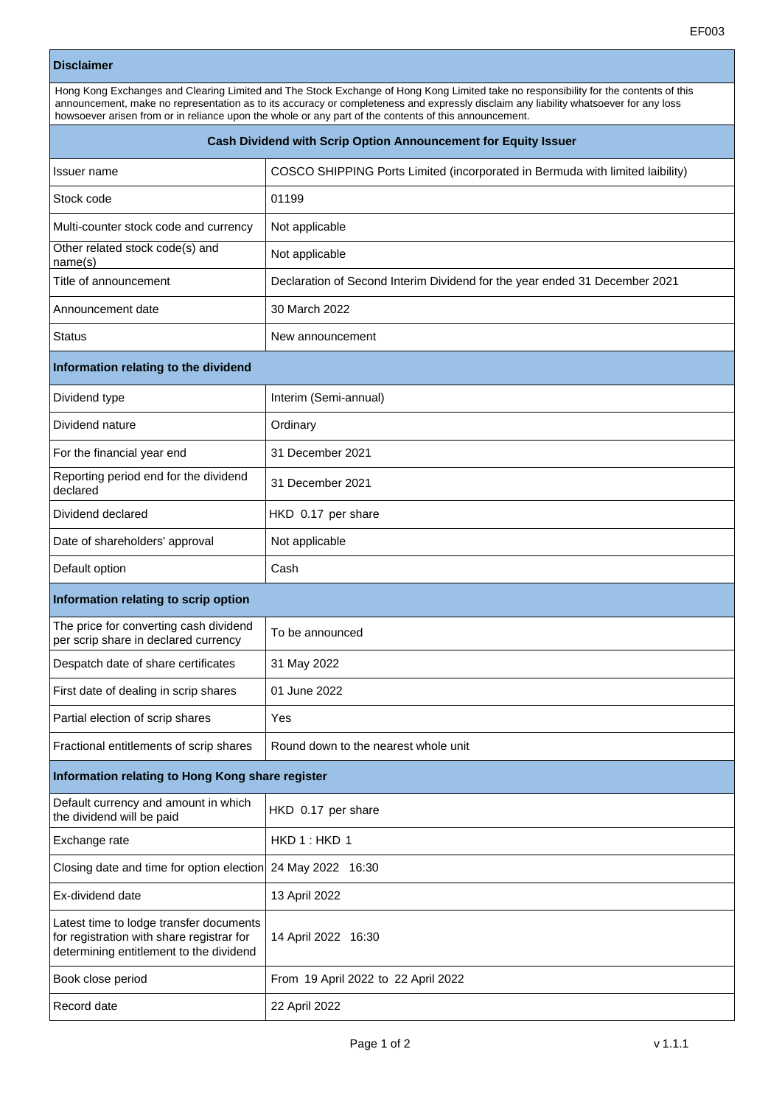## **Disclaimer**

Hong Kong Exchanges and Clearing Limited and The Stock Exchange of Hong Kong Limited take no responsibility for the contents of this announcement, make no representation as to its accuracy or completeness and expressly disclaim any liability whatsoever for any loss howsoever arisen from or in reliance upon the whole or any part of the contents of this announcement.

| Cash Dividend with Scrip Option Announcement for Equity Issuer                                                                  |                                                                               |
|---------------------------------------------------------------------------------------------------------------------------------|-------------------------------------------------------------------------------|
| <b>Issuer name</b>                                                                                                              | COSCO SHIPPING Ports Limited (incorporated in Bermuda with limited laibility) |
| Stock code                                                                                                                      | 01199                                                                         |
| Multi-counter stock code and currency                                                                                           | Not applicable                                                                |
| Other related stock code(s) and<br>name(s)                                                                                      | Not applicable                                                                |
| Title of announcement                                                                                                           | Declaration of Second Interim Dividend for the year ended 31 December 2021    |
| Announcement date                                                                                                               | 30 March 2022                                                                 |
| <b>Status</b>                                                                                                                   | New announcement                                                              |
| Information relating to the dividend                                                                                            |                                                                               |
| Dividend type                                                                                                                   | Interim (Semi-annual)                                                         |
| Dividend nature                                                                                                                 | Ordinary                                                                      |
| For the financial year end                                                                                                      | 31 December 2021                                                              |
| Reporting period end for the dividend<br>declared                                                                               | 31 December 2021                                                              |
| Dividend declared                                                                                                               | HKD 0.17 per share                                                            |
| Date of shareholders' approval                                                                                                  | Not applicable                                                                |
| Default option                                                                                                                  | Cash                                                                          |
| Information relating to scrip option                                                                                            |                                                                               |
| The price for converting cash dividend<br>per scrip share in declared currency                                                  | To be announced                                                               |
| Despatch date of share certificates                                                                                             | 31 May 2022                                                                   |
| First date of dealing in scrip shares                                                                                           | 01 June 2022                                                                  |
| Partial election of scrip shares                                                                                                | Yes                                                                           |
| Fractional entitlements of scrip shares                                                                                         | Round down to the nearest whole unit                                          |
| Information relating to Hong Kong share register                                                                                |                                                                               |
| Default currency and amount in which<br>the dividend will be paid                                                               | HKD 0.17 per share                                                            |
| Exchange rate                                                                                                                   | HKD 1: HKD 1                                                                  |
| Closing date and time for option election                                                                                       | 24 May 2022 16:30                                                             |
| Ex-dividend date                                                                                                                | 13 April 2022                                                                 |
| Latest time to lodge transfer documents<br>for registration with share registrar for<br>determining entitlement to the dividend | 14 April 2022 16:30                                                           |
| Book close period                                                                                                               | From 19 April 2022 to 22 April 2022                                           |
| Record date                                                                                                                     | 22 April 2022                                                                 |